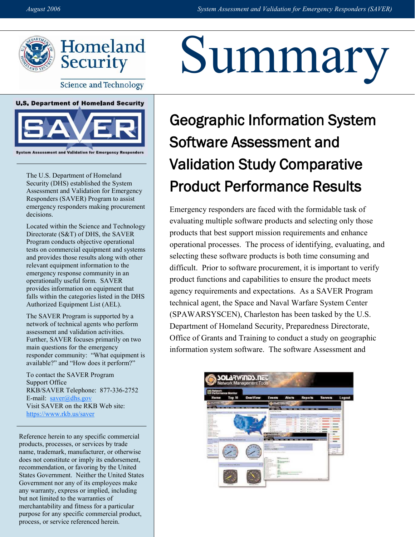

**Science and Technology** 



The U.S. Department of Homeland Security (DHS) established the System Assessment and Validation for Emergency Responders (SAVER) Program to assist emergency responders making procurement decisions.

Located within the Science and Technology Directorate (S&T) of DHS, the SAVER Program conducts objective operational tests on commercial equipment and systems and provides those results along with other relevant equipment information to the emergency response community in an operationally useful form. SAVER provides information on equipment that falls within the categories listed in the DHS Authorized Equipment List (AEL).

The SAVER Program is supported by a network of technical agents who perform assessment and validation activities. Further, SAVER focuses primarily on two main questions for the emergency responder community: "What equipment is available?" and "How does it perform?"

To contact the SAVER Program Support Office RKB/SAVER Telephone: 877-336-2752 E-mail:  $saver@dhs.gov$ Visit SAVER on the RKB Web site: <https://www.rkb.us/saver>

Reference herein to any specific commercial products, processes, or services by trade name, trademark, manufacturer, or otherwise does not constitute or imply its endorsement, recommendation, or favoring by the United States Government. Neither the United States Government nor any of its employees make any warranty, express or implied, including but not limited to the warranties of merchantability and fitness for a particular purpose for any specific commercial product, process, or service referenced herein.

## Summary

## Geographic Information System Software Assessment and Validation Study Comparative Product Performance Results

 Emergency responders are faced with the formidable task of evaluating multiple software products and selecting only those products that best support mission requirements and enhance operational processes. The process of identifying, evaluating, and selecting these software products is both time consuming and difficult. Prior to software procurement, it is important to verify product functions and capabilities to ensure the product meets agency requirements and expectations. As a SAVER Program technical agent, the Space and Naval Warfare System Center (SPAWARSYSCEN), Charleston has been tasked by the U.S. Department of Homeland Security, Preparedness Directorate, Office of Grants and Training to conduct a study on geographic information system software. The software Assessment and

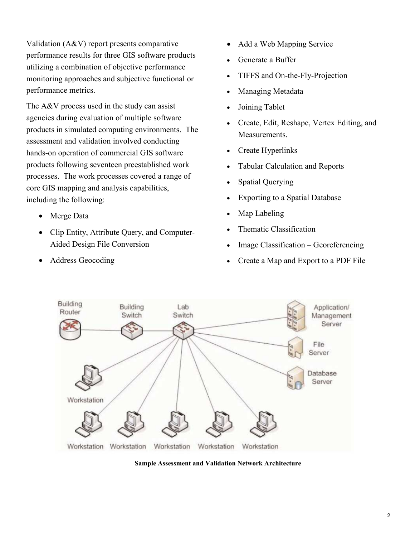monitoring approaches and subjective functional or Validation (A&V) report presents comparative performance results for three GIS software products utilizing a combination of objective performance performance metrics.

 processes. The work processes covered a range of The A&V process used in the study can assist agencies during evaluation of multiple software products in simulated computing environments. The assessment and validation involved conducting hands-on operation of commercial GIS software products following seventeen preestablished work core GIS mapping and analysis capabilities, including the following:

- Merge Data
- Clip Entity, Attribute Query, and Computer-Aided Design File Conversion
- Address Geocoding
- Add a Web Mapping Service
- Generate a Buffer
- TIFFS and On-the-Fly-Projection
- Managing Metadata
- Joining Tablet
- Create, Edit, Reshape, Vertex Editing, and Measurements.
- Create Hyperlinks
- Tabular Calculation and Reports
- **Spatial Querying**
- Exporting to a Spatial Database
- Map Labeling
- Thematic Classification
- Image Classification Georeferencing
- Create a Map and Export to a PDF File



**Sample Assessment and Validation Network Architecture**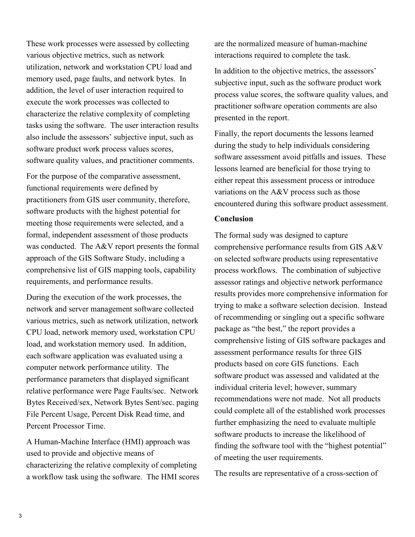characterize the relative complexity of completing also include the assessors' subjective input, such as These work processes were assessed by collecting various objective metrics, such as network utilization, network and workstation CPU load and memory used, page faults, and network bytes. In addition, the level of user interaction required to execute the work processes was collected to tasks using the software. The user interaction results software product work process values scores, software quality values, and practitioner comments.

 meeting those requirements were selected, and a approach of the GIS Software Study, including a For the purpose of the comparative assessment, functional requirements were defined by practitioners from GIS user community, therefore, software products with the highest potential for formal, independent assessment of those products was conducted. The A&V report presents the formal comprehensive list of GIS mapping tools, capability requirements, and performance results.

 each software application was evaluated using a During the execution of the work processes, the network and server management software collected various metrics, such as network utilization, network CPU load, network memory used, workstation CPU load, and workstation memory used. In addition, computer network performance utility. The performance parameters that displayed significant relative performance were Page Faults/sec. Network Bytes Received/sex, Network Bytes Sent/sec. paging File Percent Usage, Percent Disk Read time, and Percent Processor Time.

A Human-Machine Interface (HMI) approach was used to provide and objective means of characterizing the relative complexity of completing a workflow task using the software. The HMI scores are the normalized measure of human-machine interactions required to complete the task.

 practitioner software operation comments are also In addition to the objective metrics, the assessors' subjective input, such as the software product work process value scores, the software quality values, and presented in the report.

Finally, the report documents the lessons learned during the study to help individuals considering software assessment avoid pitfalls and issues. These lessons learned are beneficial for those trying to either repeat this assessment process or introduce variations on the A&V process such as those encountered during this software product assessment.

## **Conclusion**

 comprehensive performance results from GIS A&V The formal sudy was designed to capture on selected software products using representative process workflows. The combination of subjective assessor ratings and objective network performance results provides more comprehensive information for trying to make a software selection decision. Instead of recommending or singling out a specific software package as "the best," the report provides a comprehensive listing of GIS software packages and assessment performance results for three GIS products based on core GIS functions. Each software product was assessed and validated at the individual criteria level; however, summary recommendations were not made. Not all products could complete all of the established work processes further emphasizing the need to evaluate multiple software products to increase the likelihood of finding the software tool with the "highest potential" of meeting the user requirements.

The results are representative of a cross-section of